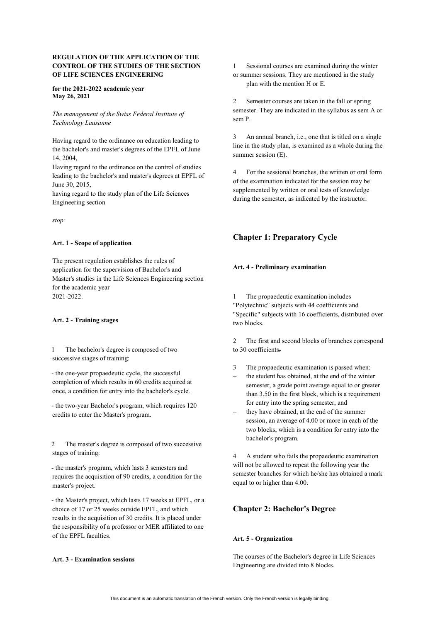# **REGULATION OF THE APPLICATION OF THE CONTROL OF THE STUDIES OF THE SECTION OF LIFE SCIENCES ENGINEERING**

### **for the 2021-2022 academic year May 26, 2021**

# *The management of the Swiss Federal Institute of Technology Lausanne*

Having regard to the ordinance on education leading to the bachelor's and master's degrees of the EPFL of June 14, 2004,

Having regard to the ordinance on the control of studies leading to the bachelor's and master's degrees at EPFL of June 30, 2015,

having regard to the study plan of the Life Sciences Engineering section

*stop:*

## **Art. 1 - Scope of application**

The present regulation establishes the rules of application for the supervision of Bachelor's and Master's studies in the Life Sciences Engineering section for the academic year 2021-2022.

## **Art. 2 - Training stages**

1 The bachelor's degree is composed of two successive stages of training:

- the one-year propaedeutic cycle, the successful completion of which results in 60 credits acquired at once, a condition for entry into the bachelor's cycle.

- the two-year Bachelor's program, which requires 120 credits to enter the Master's program.

2 The master's degree is composed of two successive stages of training:

- the master's program, which lasts 3 semesters and requires the acquisition of 90 credits, a condition for the master's project.

- the Master's project, which lasts 17 weeks at EPFL, or a choice of 17 or 25 weeks outside EPFL, and which results in the acquisition of 30 credits. It is placed under the responsibility of a professor or MER affiliated to one of the EPFL faculties.

## **Art. 3 - Examination sessions**

1 Sessional courses are examined during the winter or summer sessions. They are mentioned in the study plan with the mention H or E.

2 Semester courses are taken in the fall or spring semester. They are indicated in the syllabus as sem A or sem P.

3 An annual branch, i.e., one that is titled on a single line in the study plan, is examined as a whole during the summer session (E).

4 For the sessional branches, the written or oral form of the examination indicated for the session may be supplemented by written or oral tests of knowledge during the semester, as indicated by the instructor.

# **Chapter 1: Preparatory Cycle**

## **Art. 4 - Preliminary examination**

The propaedeutic examination includes "Polytechnic" subjects with 44 coefficients and "Specific" subjects with 16 coefficients, distributed over two blocks.

2 The first and second blocks of branches correspond to 30 coefficients.

- 3 The propaedeutic examination is passed when:
- the student has obtained, at the end of the winter semester, a grade point average equal to or greater than 3.50 in the first block, which is a requirement for entry into the spring semester, and
- they have obtained, at the end of the summer session, an average of 4.00 or more in each of the two blocks, which is a condition for entry into the bachelor's program.

4 A student who fails the propaedeutic examination will not be allowed to repeat the following year the semester branches for which he/she has obtained a mark equal to or higher than 4.00.

# **Chapter 2: Bachelor's Degree**

# **Art. 5 - Organization**

The courses of the Bachelor's degree in Life Sciences Engineering are divided into 8 blocks.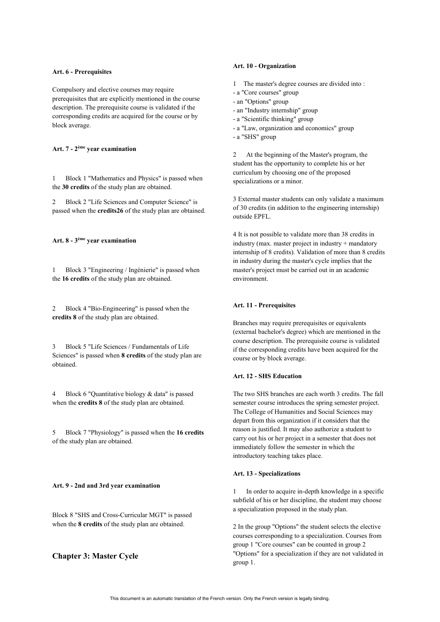#### **Art. 6 - Prerequisites**

Compulsory and elective courses may require prerequisites that are explicitly mentioned in the course description. The prerequisite course is validated if the corresponding credits are acquired for the course or by block average.

## **Art. 7 - 2ème year examination**

1 Block 1 "Mathematics and Physics" is passed when the **30 credits** of the study plan are obtained.

2 Block 2 "Life Sciences and Computer Science" is passed when the **credits26** of the study plan are obtained.

### **Art. 8 - 3ème year examination**

1 Block 3 "Engineering / Ingénierie" is passed when the **16 credits** of the study plan are obtained.

2 Block 4 "Bio-Engineering" is passed when the **credits 8** of the study plan are obtained.

3 Block 5 "Life Sciences / Fundamentals of Life Sciences" is passed when **8 credits** of the study plan are obtained.

4 Block 6 "Quantitative biology & data" is passed when the **credits 8** of the study plan are obtained.

5 Block 7 "Physiology" is passed when the **16 credits**  of the study plan are obtained.

### **Art. 9 - 2nd and 3rd year examination**

Block 8 "SHS and Cross-Curricular MGT" is passed when the **8 credits** of the study plan are obtained.

# **Chapter 3: Master Cycle**

### **Art. 10 - Organization**

- 1 The master's degree courses are divided into :
- a "Core courses" group
- an "Options" group
- an "Industry internship" group
- a "Scientific thinking" group
- a "Law, organization and economics" group
- a "SHS" group

2 At the beginning of the Master's program, the student has the opportunity to complete his or her curriculum by choosing one of the proposed specializations or a minor.

3 External master students can only validate a maximum of 30 credits (in addition to the engineering internship) outside EPFL.

4 It is not possible to validate more than 38 credits in industry (max. master project in industry + mandatory internship of 8 credits). Validation of more than 8 credits in industry during the master's cycle implies that the master's project must be carried out in an academic environment.

## **Art. 11 - Prerequisites**

Branches may require prerequisites or equivalents (external bachelor's degree) which are mentioned in the course description. The prerequisite course is validated if the corresponding credits have been acquired for the course or by block average.

## **Art. 12 - SHS Education**

The two SHS branches are each worth 3 credits. The fall semester course introduces the spring semester project. The College of Humanities and Social Sciences may depart from this organization if it considers that the reason is justified. It may also authorize a student to carry out his or her project in a semester that does not immediately follow the semester in which the introductory teaching takes place.

### **Art. 13 - Specializations**

1 In order to acquire in-depth knowledge in a specific subfield of his or her discipline, the student may choose a specialization proposed in the study plan.

2 In the group "Options" the student selects the elective courses corresponding to a specialization. Courses from group 1 "Core courses" can be counted in group 2 "Options" for a specialization if they are not validated in group 1.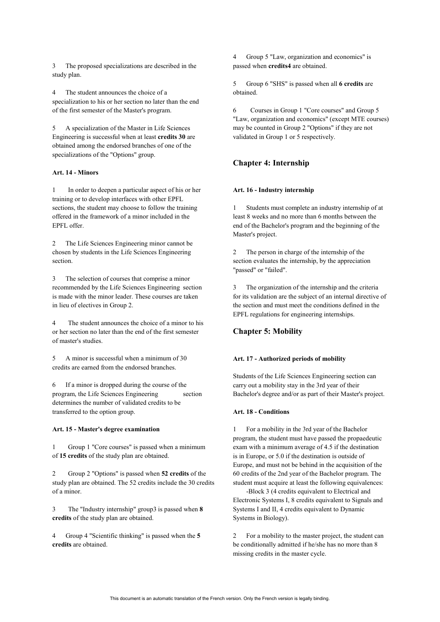3 The proposed specializations are described in the study plan.

4 The student announces the choice of a specialization to his or her section no later than the end of the first semester of the Master's program.

5 A specialization of the Master in Life Sciences Engineering is successful when at least **credits 30** are obtained among the endorsed branches of one of the specializations of the "Options" group.

## **Art. 14 - Minors**

1 In order to deepen a particular aspect of his or her training or to develop interfaces with other EPFL sections, the student may choose to follow the training offered in the framework of a minor included in the EPFL offer.

2 The Life Sciences Engineering minor cannot be chosen by students in the Life Sciences Engineering section.

3 The selection of courses that comprise a minor recommended by the Life Sciences Engineering section is made with the minor leader. These courses are taken in lieu of electives in Group 2.

4 The student announces the choice of a minor to his or her section no later than the end of the first semester of master's studies.

5 A minor is successful when a minimum of 30 credits are earned from the endorsed branches.

6 If a minor is dropped during the course of the program, the Life Sciences Engineering section determines the number of validated credits to be transferred to the option group.

# **Art. 15 - Master's degree examination**

1 Group 1 "Core courses" is passed when a minimum of **15 credits** of the study plan are obtained.

2 Group 2 "Options" is passed when **52 credits** of the study plan are obtained. The 52 credits include the 30 credits of a minor.

3 The "Industry internship" group3 is passed when **8 credits** of the study plan are obtained.

4 Group 4 "Scientific thinking" is passed when the **5 credits** are obtained.

4 Group 5 "Law, organization and economics" is passed when **credits4** are obtained.

5 Group 6 "SHS" is passed when all **6 credits** are obtained.

6 Courses in Group 1 "Core courses" and Group 5 "Law, organization and economics" (except MTE courses) may be counted in Group 2 "Options" if they are not validated in Group 1 or 5 respectively.

# **Chapter 4: Internship**

### **Art. 16 - Industry internship**

1 Students must complete an industry internship of at least 8 weeks and no more than 6 months between the end of the Bachelor's program and the beginning of the Master's project.

2 The person in charge of the internship of the section evaluates the internship, by the appreciation "passed" or "failed".

3 The organization of the internship and the criteria for its validation are the subject of an internal directive of the section and must meet the conditions defined in the EPFL regulations for engineering internships.

## **Chapter 5: Mobility**

## **Art. 17 - Authorized periods of mobility**

Students of the Life Sciences Engineering section can carry out a mobility stay in the 3rd year of their Bachelor's degree and/or as part of their Master's project.

#### **Art. 18 - Conditions**

1 For a mobility in the 3rd year of the Bachelor program, the student must have passed the propaedeutic exam with a minimum average of 4.5 if the destination is in Europe, or 5.0 if the destination is outside of Europe, and must not be behind in the acquisition of the 60 credits of the 2nd year of the Bachelor program. The student must acquire at least the following equivalences:

 -Block 3 (4 credits equivalent to Electrical and Electronic Systems I, 8 credits equivalent to Signals and Systems I and II, 4 credits equivalent to Dynamic Systems in Biology).

2 For a mobility to the master project, the student can be conditionally admitted if he/she has no more than 8 missing credits in the master cycle.